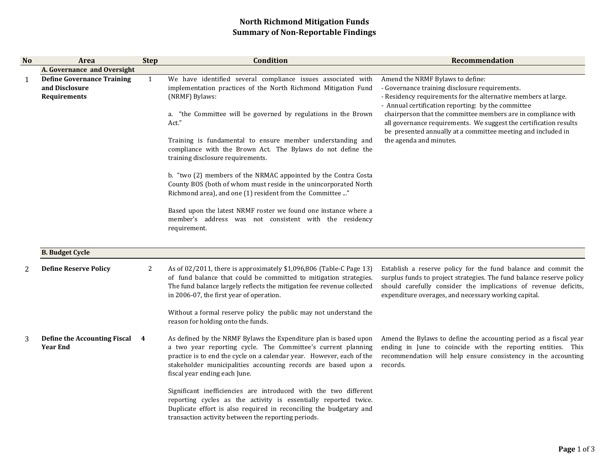## North Richmond Mitigation FundsSummary of Non-Reportable Findings

| <b>No</b> | Area                                                                | <b>Step</b>  | Condition                                                                                                                                                                                                                                                                                                    | Recommendation                                                                                                                                                                                                                                                    |
|-----------|---------------------------------------------------------------------|--------------|--------------------------------------------------------------------------------------------------------------------------------------------------------------------------------------------------------------------------------------------------------------------------------------------------------------|-------------------------------------------------------------------------------------------------------------------------------------------------------------------------------------------------------------------------------------------------------------------|
|           | A. Governance and Oversight                                         |              |                                                                                                                                                                                                                                                                                                              |                                                                                                                                                                                                                                                                   |
| 1         | <b>Define Governance Training</b><br>and Disclosure<br>Requirements | $\mathbf{1}$ | We have identified several compliance issues associated with<br>implementation practices of the North Richmond Mitigation Fund<br>(NRMF) Bylaws:                                                                                                                                                             | Amend the NRMF Bylaws to define:<br>- Governance training disclosure requirements.<br>- Residency requirements for the alternative members at large.<br>- Annual certification reporting: by the committee                                                        |
|           |                                                                     |              | a. "the Committee will be governed by regulations in the Brown<br>Act."                                                                                                                                                                                                                                      | chairperson that the committee members are in compliance with<br>all governance requirements. We suggest the certification results<br>be presented annually at a committee meeting and included in                                                                |
|           |                                                                     |              | Training is fundamental to ensure member understanding and<br>compliance with the Brown Act. The Bylaws do not define the<br>training disclosure requirements.                                                                                                                                               | the agenda and minutes.                                                                                                                                                                                                                                           |
|           |                                                                     |              | b. "two (2) members of the NRMAC appointed by the Contra Costa<br>County BOS (both of whom must reside in the unincorporated North<br>Richmond area), and one (1) resident from the Committee "                                                                                                              |                                                                                                                                                                                                                                                                   |
|           |                                                                     |              | Based upon the latest NRMF roster we found one instance where a<br>member's address was not consistent with the residency<br>requirement.                                                                                                                                                                    |                                                                                                                                                                                                                                                                   |
|           | <b>B. Budget Cycle</b>                                              |              |                                                                                                                                                                                                                                                                                                              |                                                                                                                                                                                                                                                                   |
| 2         | <b>Define Reserve Policy</b>                                        | 2            | As of 02/2011, there is approximately \$1,096,806 (Table-C Page 13)<br>of fund balance that could be committed to mitigation strategies.<br>The fund balance largely reflects the mitigation fee revenue collected<br>in 2006-07, the first year of operation.                                               | Establish a reserve policy for the fund balance and commit the<br>surplus funds to project strategies. The fund balance reserve policy<br>should carefully consider the implications of revenue deficits,<br>expenditure overages, and necessary working capital. |
|           |                                                                     |              | Without a formal reserve policy the public may not understand the<br>reason for holding onto the funds.                                                                                                                                                                                                      |                                                                                                                                                                                                                                                                   |
| 3         | Define the Accounting Fiscal<br><b>Year End</b>                     | 4            | As defined by the NRMF Bylaws the Expenditure plan is based upon<br>a two year reporting cycle. The Committee's current planning<br>practice is to end the cycle on a calendar year. However, each of the<br>stakeholder municipalities accounting records are based upon a<br>fiscal year ending each June. | Amend the Bylaws to define the accounting period as a fiscal year<br>ending in June to coincide with the reporting entities. This<br>recommendation will help ensure consistency in the accounting<br>records.                                                    |
|           |                                                                     |              | Significant inefficiencies are introduced with the two different<br>reporting cycles as the activity is essentially reported twice.<br>Duplicate effort is also required in reconciling the budgetary and<br>transaction activity between the reporting periods.                                             |                                                                                                                                                                                                                                                                   |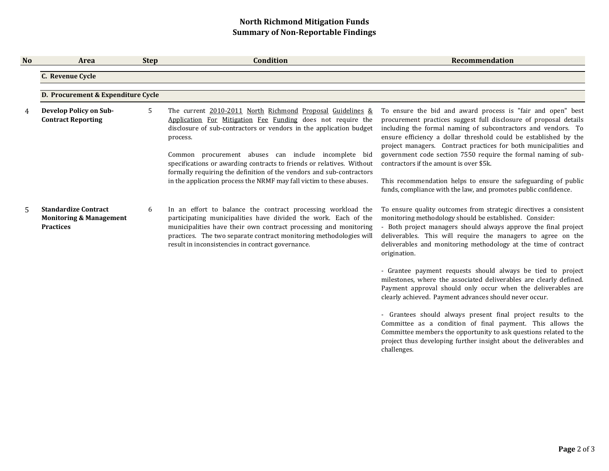## North Richmond Mitigation FundsSummary of Non-Reportable Findings

| <b>No</b> | Area                                                                                  | <b>Step</b> | <b>Condition</b>                                                                                                                                                                                                                                                                                                                                                                                                     | <b>Recommendation</b>                                                                                                                                                                                                                                                                                                                                                                                                                                  |
|-----------|---------------------------------------------------------------------------------------|-------------|----------------------------------------------------------------------------------------------------------------------------------------------------------------------------------------------------------------------------------------------------------------------------------------------------------------------------------------------------------------------------------------------------------------------|--------------------------------------------------------------------------------------------------------------------------------------------------------------------------------------------------------------------------------------------------------------------------------------------------------------------------------------------------------------------------------------------------------------------------------------------------------|
|           | C. Revenue Cycle                                                                      |             |                                                                                                                                                                                                                                                                                                                                                                                                                      |                                                                                                                                                                                                                                                                                                                                                                                                                                                        |
|           | D. Procurement & Expenditure Cycle                                                    |             |                                                                                                                                                                                                                                                                                                                                                                                                                      |                                                                                                                                                                                                                                                                                                                                                                                                                                                        |
|           | <b>Develop Policy on Sub-</b><br><b>Contract Reporting</b>                            | 5           | The current 2010-2011 North Richmond Proposal Guidelines &<br>Application For Mitigation Fee Funding does not require the<br>disclosure of sub-contractors or vendors in the application budget<br>process.<br>Common procurement abuses can include incomplete bid<br>specifications or awarding contracts to friends or relatives. Without<br>formally requiring the definition of the vendors and sub-contractors | To ensure the bid and award process is "fair and open" best<br>procurement practices suggest full disclosure of proposal details<br>including the formal naming of subcontractors and vendors. To<br>ensure efficiency a dollar threshold could be established by the<br>project managers. Contract practices for both municipalities and<br>government code section 7550 require the formal naming of sub-<br>contractors if the amount is over \$5k. |
|           |                                                                                       |             | in the application process the NRMF may fall victim to these abuses.                                                                                                                                                                                                                                                                                                                                                 | This recommendation helps to ensure the safeguarding of public<br>funds, compliance with the law, and promotes public confidence.                                                                                                                                                                                                                                                                                                                      |
| .5        | <b>Standardize Contract</b><br><b>Monitoring &amp; Management</b><br><b>Practices</b> | 6           | In an effort to balance the contract processing workload the<br>participating municipalities have divided the work. Each of the<br>municipalities have their own contract processing and monitoring<br>practices. The two separate contract monitoring methodologies will<br>result in inconsistencies in contract governance.                                                                                       | To ensure quality outcomes from strategic directives a consistent<br>monitoring methodology should be established. Consider:<br>- Both project managers should always approve the final project<br>deliverables. This will require the managers to agree on the<br>deliverables and monitoring methodology at the time of contract<br>origination.                                                                                                     |
|           |                                                                                       |             |                                                                                                                                                                                                                                                                                                                                                                                                                      | - Grantee payment requests should always be tied to project<br>milestones, where the associated deliverables are clearly defined.<br>Payment approval should only occur when the deliverables are<br>clearly achieved. Payment advances should never occur.                                                                                                                                                                                            |
|           |                                                                                       |             |                                                                                                                                                                                                                                                                                                                                                                                                                      | - Grantees should always present final project results to the<br>Committee as a condition of final payment. This allows the<br>Committee members the opportunity to ask questions related to the<br>project thus developing further insight about the deliverables and<br>challenges.                                                                                                                                                                  |